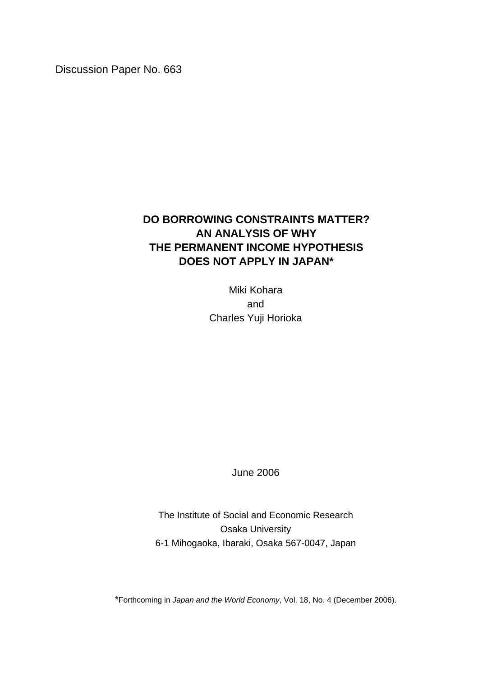Discussion Paper No. 663

# **DO BORROWING CONSTRAINTS MATTER? AN ANALYSIS OF WHY THE PERMANENT INCOME HYPOTHESIS DOES NOT APPLY IN JAPAN\***

Miki Kohara and Charles Yuji Horioka

June 2006

The Institute of Social and Economic Research Osaka University 6-1 Mihogaoka, Ibaraki, Osaka 567-0047, Japan

\*Forthcoming in *Japan and the World Economy*, Vol. 18, No. 4 (December 2006).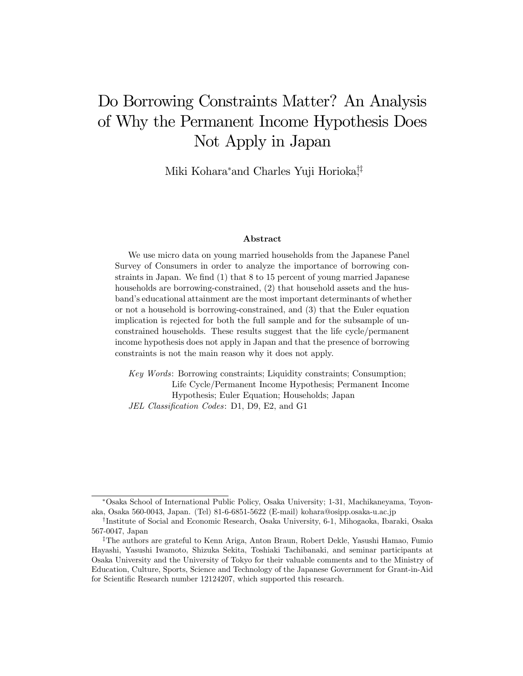# Do Borrowing Constraints Matter? An Analysis of Why the Permanent Income Hypothesis Does Not Apply in Japan

Miki Kohara<sup>\*</sup>and Charles Yuji Horioka<sup>††</sup>

### Abstract

We use micro data on young married households from the Japanese Panel Survey of Consumers in order to analyze the importance of borrowing constraints in Japan. We find (1) that 8 to 15 percent of young married Japanese households are borrowing-constrained, (2) that household assets and the husband's educational attainment are the most important determinants of whether or not a household is borrowing-constrained, and (3) that the Euler equation implication is rejected for both the full sample and for the subsample of unconstrained households. These results suggest that the life cycle/permanent income hypothesis does not apply in Japan and that the presence of borrowing constraints is not the main reason why it does not apply.

Key Words: Borrowing constraints; Liquidity constraints; Consumption; Life Cycle/Permanent Income Hypothesis; Permanent Income Hypothesis; Euler Equation; Households; Japan JEL Classification Codes: D1, D9, E2, and G1

Osaka School of International Public Policy, Osaka University; 1-31, Machikaneyama, Toyonaka, Osaka 560-0043, Japan. (Tel) 81-6-6851-5622 (E-mail) kohara@osipp.osaka-u.ac.jp

<sup>†</sup>Institute of Social and Economic Research, Osaka University, 6-1, Mihogaoka, Ibaraki, Osaka 567-0047, Japan

<sup>‡</sup>The authors are grateful to Kenn Ariga, Anton Braun, Robert Dekle, Yasushi Hamao, Fumio Hayashi, Yasushi Iwamoto, Shizuka Sekita, Toshiaki Tachibanaki, and seminar participants at Osaka University and the University of Tokyo for their valuable comments and to the Ministry of Education, Culture, Sports, Science and Technology of the Japanese Government for Grant-in-Aid for Scientific Research number 12124207, which supported this research.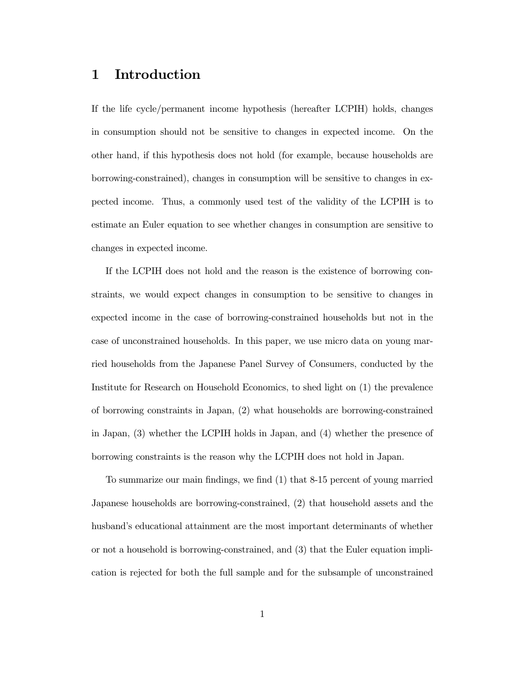# 1 Introduction

If the life cycle/permanent income hypothesis (hereafter LCPIH) holds, changes in consumption should not be sensitive to changes in expected income. On the other hand, if this hypothesis does not hold (for example, because households are borrowing-constrained), changes in consumption will be sensitive to changes in expected income. Thus, a commonly used test of the validity of the LCPIH is to estimate an Euler equation to see whether changes in consumption are sensitive to changes in expected income.

If the LCPIH does not hold and the reason is the existence of borrowing constraints, we would expect changes in consumption to be sensitive to changes in expected income in the case of borrowing-constrained households but not in the case of unconstrained households. In this paper, we use micro data on young married households from the Japanese Panel Survey of Consumers, conducted by the Institute for Research on Household Economics, to shed light on (1) the prevalence of borrowing constraints in Japan, (2) what households are borrowing-constrained in Japan, (3) whether the LCPIH holds in Japan, and (4) whether the presence of borrowing constraints is the reason why the LCPIH does not hold in Japan.

To summarize our main findings, we find (1) that 8-15 percent of young married Japanese households are borrowing-constrained, (2) that household assets and the husband's educational attainment are the most important determinants of whether or not a household is borrowing-constrained, and (3) that the Euler equation implication is rejected for both the full sample and for the subsample of unconstrained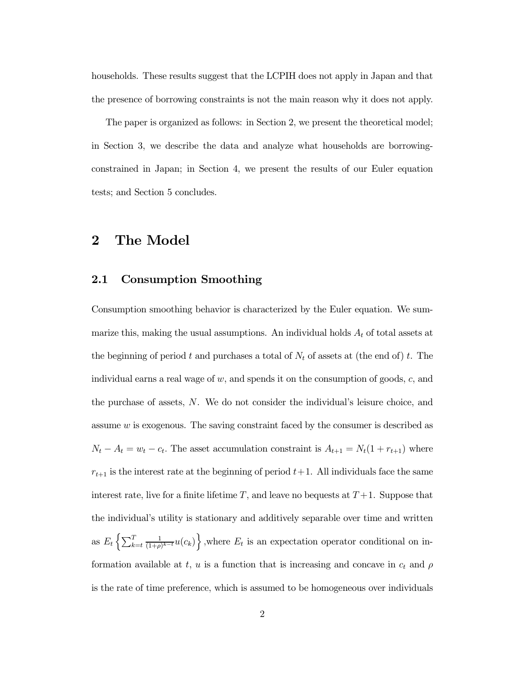households. These results suggest that the LCPIH does not apply in Japan and that the presence of borrowing constraints is not the main reason why it does not apply.

The paper is organized as follows: in Section 2, we present the theoretical model; in Section 3, we describe the data and analyze what households are borrowingconstrained in Japan; in Section 4, we present the results of our Euler equation tests; and Section 5 concludes.

# 2 The Model

### 2.1 Consumption Smoothing

Consumption smoothing behavior is characterized by the Euler equation. We summarize this, making the usual assumptions. An individual holds  $A_t$  of total assets at the beginning of period t and purchases a total of  $N_t$  of assets at (the end of) t. The individual earns a real wage of w, and spends it on the consumption of goods, c, and the purchase of assets, N. We do not consider the individual's leisure choice, and assume w is exogenous. The saving constraint faced by the consumer is described as  $N_t - A_t = w_t - c_t$ . The asset accumulation constraint is  $A_{t+1} = N_t(1 + r_{t+1})$  where  $r_{t+1}$  is the interest rate at the beginning of period  $t+1$ . All individuals face the same interest rate, live for a finite lifetime  $T$ , and leave no bequests at  $T+1$ . Suppose that the individual's utility is stationary and additively separable over time and written as  $E_t$  $\int \frac{1}{\sqrt{2}}$  $\left\{\frac{T}{k=t} \frac{1}{(1+\rho)^{k-t}} u(c_k)\right\}$ , where  $E_t$  is an expectation operator conditional on ino formation available at t, u is a function that is increasing and concave in  $c_t$  and  $\rho$ is the rate of time preference, which is assumed to be homogeneous over individuals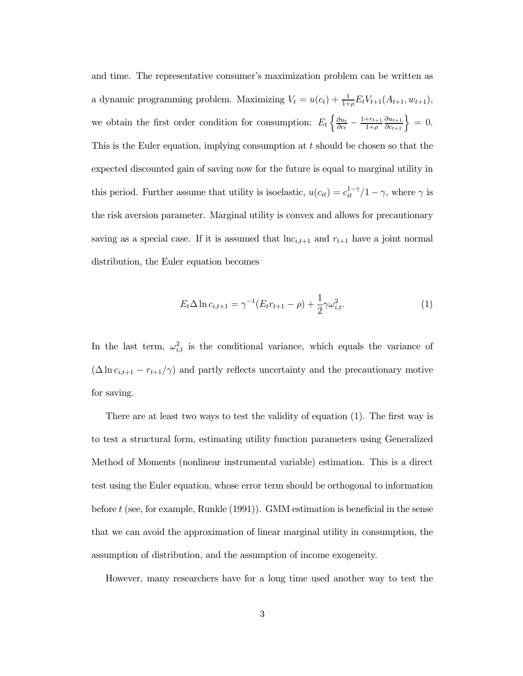and time. The representative consumer's maximization problem can be written as a dynamic programming problem. Maximizing  $V_t = u(c_t) + \frac{1}{1+\rho} E_t V_{t+1}(A_{t+1}, w_{t+1}),$ we obtain the first order condition for consumption:  $E_t \left\{ \frac{\partial u_t}{\partial c_t} - \frac{1+r_{t+1}}{1+\rho} \right\}$ n $\partial u_{t+1}$  $\frac{\partial u_{t+1}}{\partial c_{t+1}}\Big\} = 0.$ This is the Euler equation, implying consumption at  $t$  should be chosen so that the expected discounted gain of saving now for the future is equal to marginal utility in this period. Further assume that utility is isoelastic,  $u(c_{it}) = c_{it}^{1-\gamma}/1 - \gamma$ , where  $\gamma$  is the risk aversion parameter. Marginal utility is convex and allows for precautionary saving as a special case. If it is assumed that  $\ln c_{i,t+1}$  and  $r_{t+1}$  have a joint normal distribution, the Euler equation becomes

$$
E_t \Delta \ln c_{i,t+1} = \gamma^{-1} (E_t r_{t+1} - \rho) + \frac{1}{2} \gamma \omega_{i,t}^2.
$$
 (1)

In the last term,  $\omega_{i,t}^2$  is the conditional variance, which equals the variance of  $({\Delta \ln c_{i,t+1} - r_{t+1}/\gamma})$  and partly reflects uncertainty and the precautionary motive for saving.

There are at least two ways to test the validity of equation (1). The first way is to test a structural form, estimating utility function parameters using Generalized Method of Moments (nonlinear instrumental variable) estimation. This is a direct test using the Euler equation, whose error term should be orthogonal to information before  $t$  (see, for example, Runkle  $(1991)$ ). GMM estimation is beneficial in the sense that we can avoid the approximation of linear marginal utility in consumption, the assumption of distribution, and the assumption of income exogeneity.

However, many researchers have for a long time used another way to test the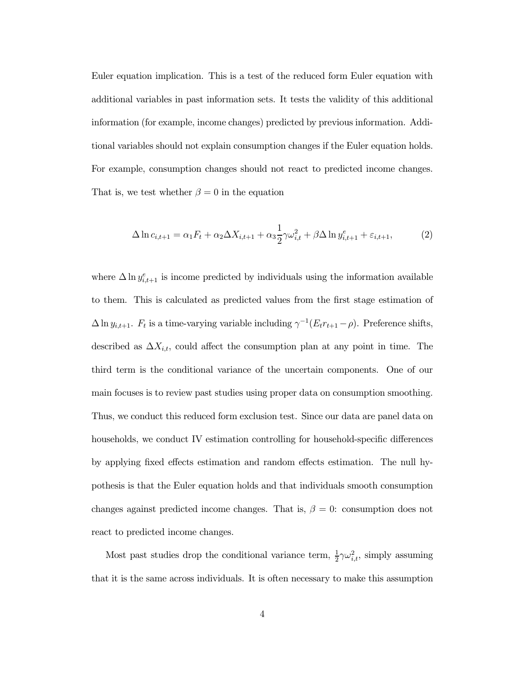Euler equation implication. This is a test of the reduced form Euler equation with additional variables in past information sets. It tests the validity of this additional information (for example, income changes) predicted by previous information. Additional variables should not explain consumption changes if the Euler equation holds. For example, consumption changes should not react to predicted income changes. That is, we test whether  $\beta = 0$  in the equation

$$
\Delta \ln c_{i,t+1} = \alpha_1 F_t + \alpha_2 \Delta X_{i,t+1} + \alpha_3 \frac{1}{2} \gamma \omega_{i,t}^2 + \beta \Delta \ln y_{i,t+1}^e + \varepsilon_{i,t+1},\tag{2}
$$

where  $\Delta \ln y_{i,t+1}^e$  is income predicted by individuals using the information available to them. This is calculated as predicted values from the first stage estimation of  ${\Delta \ln y_{i,t+1}}$ .  $F_t$  is a time-varying variable including  ${\gamma^{-1}(E_t r_{t+1} - \rho)}$ . Preference shifts, described as  $\Delta X_{i,t}$ , could affect the consumption plan at any point in time. The third term is the conditional variance of the uncertain components. One of our main focuses is to review past studies using proper data on consumption smoothing. Thus, we conduct this reduced form exclusion test. Since our data are panel data on households, we conduct IV estimation controlling for household-specific differences by applying fixed effects estimation and random effects estimation. The null hypothesis is that the Euler equation holds and that individuals smooth consumption changes against predicted income changes. That is,  $\beta = 0$ : consumption does not react to predicted income changes.

Most past studies drop the conditional variance term,  $\frac{1}{2}\gamma \omega_{i,t}^2$ , simply assuming that it is the same across individuals. It is often necessary to make this assumption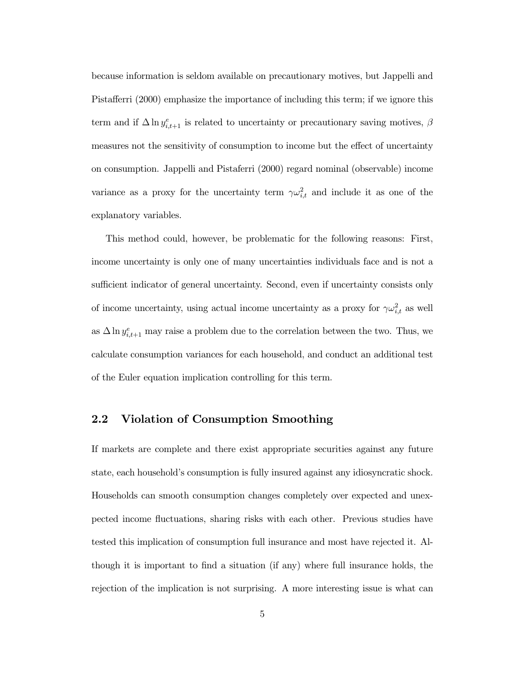because information is seldom available on precautionary motives, but Jappelli and Pistafferri (2000) emphasize the importance of including this term; if we ignore this term and if  $\Delta \ln y_{i,t+1}^e$  is related to uncertainty or precautionary saving motives,  $\beta$ measures not the sensitivity of consumption to income but the effect of uncertainty on consumption. Jappelli and Pistaferri (2000) regard nominal (observable) income variance as a proxy for the uncertainty term  $\gamma \omega_{i,t}^2$  and include it as one of the explanatory variables.

This method could, however, be problematic for the following reasons: First, income uncertainty is only one of many uncertainties individuals face and is not a sufficient indicator of general uncertainty. Second, even if uncertainty consists only of income uncertainty, using actual income uncertainty as a proxy for  $\gamma \omega_{i,t}^2$  as well as  $\Delta \ln y_{i,t+1}^e$  may raise a problem due to the correlation between the two. Thus, we calculate consumption variances for each household, and conduct an additional test of the Euler equation implication controlling for this term.

# 2.2 Violation of Consumption Smoothing

If markets are complete and there exist appropriate securities against any future state, each household's consumption is fully insured against any idiosyncratic shock. Households can smooth consumption changes completely over expected and unexpected income fluctuations, sharing risks with each other. Previous studies have tested this implication of consumption full insurance and most have rejected it. Although it is important to find a situation (if any) where full insurance holds, the rejection of the implication is not surprising. A more interesting issue is what can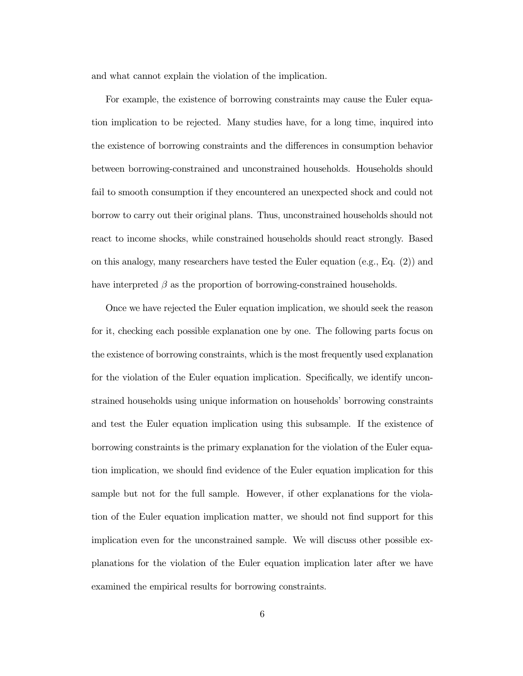and what cannot explain the violation of the implication.

For example, the existence of borrowing constraints may cause the Euler equation implication to be rejected. Many studies have, for a long time, inquired into the existence of borrowing constraints and the differences in consumption behavior between borrowing-constrained and unconstrained households. Households should fail to smooth consumption if they encountered an unexpected shock and could not borrow to carry out their original plans. Thus, unconstrained households should not react to income shocks, while constrained households should react strongly. Based on this analogy, many researchers have tested the Euler equation (e.g., Eq. (2)) and have interpreted  $\beta$  as the proportion of borrowing-constrained households.

Once we have rejected the Euler equation implication, we should seek the reason for it, checking each possible explanation one by one. The following parts focus on the existence of borrowing constraints, which is the most frequently used explanation for the violation of the Euler equation implication. Specifically, we identify unconstrained households using unique information on households' borrowing constraints and test the Euler equation implication using this subsample. If the existence of borrowing constraints is the primary explanation for the violation of the Euler equation implication, we should find evidence of the Euler equation implication for this sample but not for the full sample. However, if other explanations for the violation of the Euler equation implication matter, we should not find support for this implication even for the unconstrained sample. We will discuss other possible explanations for the violation of the Euler equation implication later after we have examined the empirical results for borrowing constraints.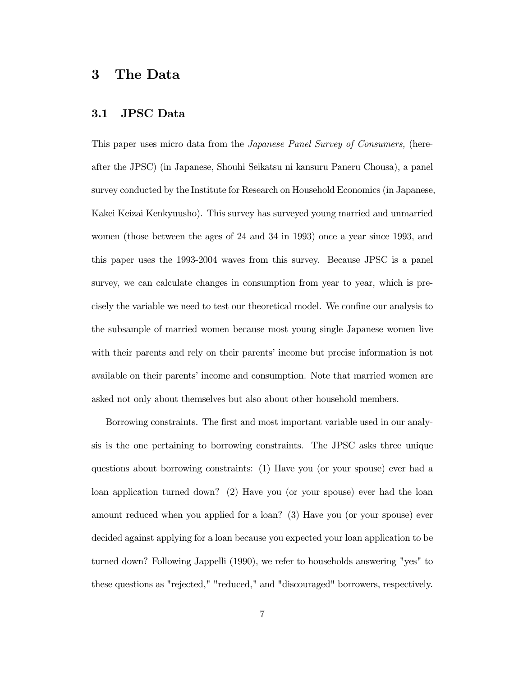# 3 The Data

## 3.1 JPSC Data

This paper uses micro data from the Japanese Panel Survey of Consumers, (hereafter the JPSC) (in Japanese, Shouhi Seikatsu ni kansuru Paneru Chousa), a panel survey conducted by the Institute for Research on Household Economics (in Japanese, Kakei Keizai Kenkyuusho). This survey has surveyed young married and unmarried women (those between the ages of 24 and 34 in 1993) once a year since 1993, and this paper uses the 1993-2004 waves from this survey. Because JPSC is a panel survey, we can calculate changes in consumption from year to year, which is precisely the variable we need to test our theoretical model. We confine our analysis to the subsample of married women because most young single Japanese women live with their parents and rely on their parents' income but precise information is not available on their parents' income and consumption. Note that married women are asked not only about themselves but also about other household members.

Borrowing constraints. The first and most important variable used in our analysis is the one pertaining to borrowing constraints. The JPSC asks three unique questions about borrowing constraints: (1) Have you (or your spouse) ever had a loan application turned down? (2) Have you (or your spouse) ever had the loan amount reduced when you applied for a loan? (3) Have you (or your spouse) ever decided against applying for a loan because you expected your loan application to be turned down? Following Jappelli (1990), we refer to households answering "yes" to these questions as "rejected," "reduced," and "discouraged" borrowers, respectively.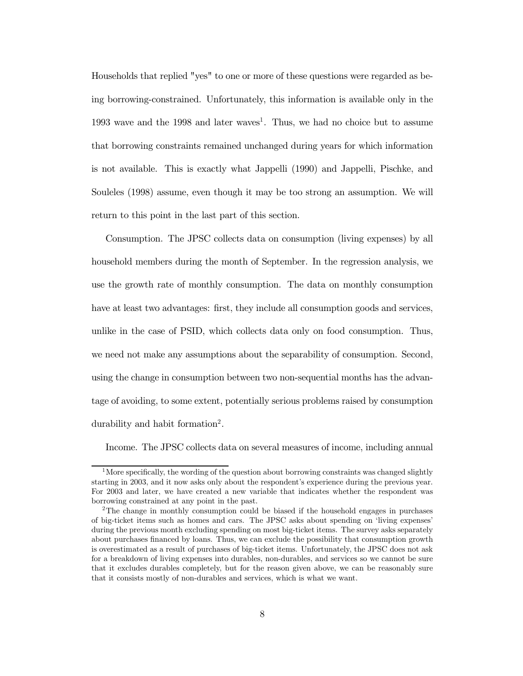Households that replied "yes" to one or more of these questions were regarded as being borrowing-constrained. Unfortunately, this information is available only in the 1993 wave and the 1998 and later waves<sup>1</sup>. Thus, we had no choice but to assume that borrowing constraints remained unchanged during years for which information is not available. This is exactly what Jappelli (1990) and Jappelli, Pischke, and Souleles (1998) assume, even though it may be too strong an assumption. We will return to this point in the last part of this section.

Consumption. The JPSC collects data on consumption (living expenses) by all household members during the month of September. In the regression analysis, we use the growth rate of monthly consumption. The data on monthly consumption have at least two advantages: first, they include all consumption goods and services, unlike in the case of PSID, which collects data only on food consumption. Thus, we need not make any assumptions about the separability of consumption. Second, using the change in consumption between two non-sequential months has the advantage of avoiding, to some extent, potentially serious problems raised by consumption durability and habit formation2.

Income. The JPSC collects data on several measures of income, including annual

<sup>&</sup>lt;sup>1</sup>More specifically, the wording of the question about borrowing constraints was changed slightly starting in 2003, and it now asks only about the respondent's experience during the previous year. For 2003 and later, we have created a new variable that indicates whether the respondent was borrowing constrained at any point in the past.

<sup>&</sup>lt;sup>2</sup>The change in monthly consumption could be biased if the household engages in purchases of big-ticket items such as homes and cars. The JPSC asks about spending on 'living expenses' during the previous month excluding spending on most big-ticket items. The survey asks separately about purchases financed by loans. Thus, we can exclude the possibility that consumption growth is overestimated as a result of purchases of big-ticket items. Unfortunately, the JPSC does not ask for a breakdown of living expenses into durables, non-durables, and services so we cannot be sure that it excludes durables completely, but for the reason given above, we can be reasonably sure that it consists mostly of non-durables and services, which is what we want.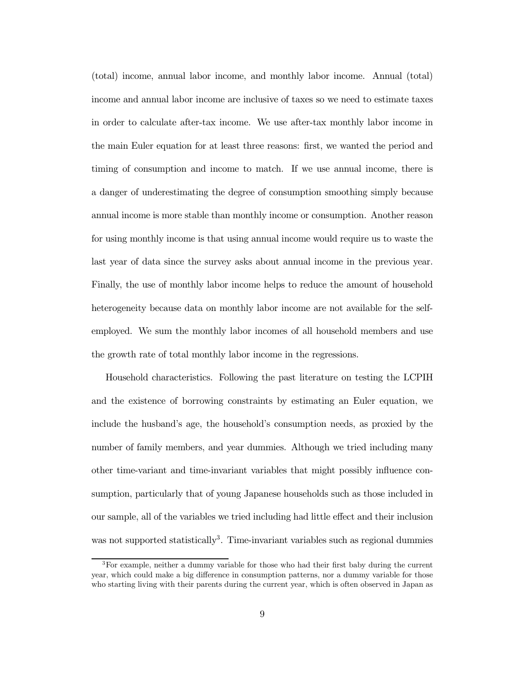(total) income, annual labor income, and monthly labor income. Annual (total) income and annual labor income are inclusive of taxes so we need to estimate taxes in order to calculate after-tax income. We use after-tax monthly labor income in the main Euler equation for at least three reasons: first, we wanted the period and timing of consumption and income to match. If we use annual income, there is a danger of underestimating the degree of consumption smoothing simply because annual income is more stable than monthly income or consumption. Another reason for using monthly income is that using annual income would require us to waste the last year of data since the survey asks about annual income in the previous year. Finally, the use of monthly labor income helps to reduce the amount of household heterogeneity because data on monthly labor income are not available for the selfemployed. We sum the monthly labor incomes of all household members and use the growth rate of total monthly labor income in the regressions.

Household characteristics. Following the past literature on testing the LCPIH and the existence of borrowing constraints by estimating an Euler equation, we include the husband's age, the household's consumption needs, as proxied by the number of family members, and year dummies. Although we tried including many other time-variant and time-invariant variables that might possibly influence consumption, particularly that of young Japanese households such as those included in our sample, all of the variables we tried including had little effect and their inclusion was not supported statistically<sup>3</sup>. Time-invariant variables such as regional dummies

<sup>&</sup>lt;sup>3</sup>For example, neither a dummy variable for those who had their first baby during the current year, which could make a big difference in consumption patterns, nor a dummy variable for those who starting living with their parents during the current year, which is often observed in Japan as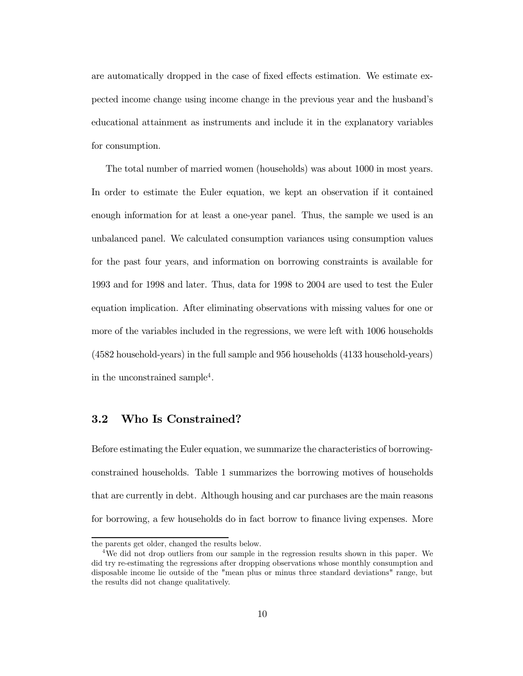are automatically dropped in the case of fixed effects estimation. We estimate expected income change using income change in the previous year and the husband's educational attainment as instruments and include it in the explanatory variables for consumption.

The total number of married women (households) was about 1000 in most years. In order to estimate the Euler equation, we kept an observation if it contained enough information for at least a one-year panel. Thus, the sample we used is an unbalanced panel. We calculated consumption variances using consumption values for the past four years, and information on borrowing constraints is available for 1993 and for 1998 and later. Thus, data for 1998 to 2004 are used to test the Euler equation implication. After eliminating observations with missing values for one or more of the variables included in the regressions, we were left with 1006 households (4582 household-years) in the full sample and 956 households (4133 household-years) in the unconstrained sample4.

# 3.2 Who Is Constrained?

Before estimating the Euler equation, we summarize the characteristics of borrowingconstrained households. Table 1 summarizes the borrowing motives of households that are currently in debt. Although housing and car purchases are the main reasons for borrowing, a few households do in fact borrow to finance living expenses. More

the parents get older, changed the results below.

<sup>&</sup>lt;sup>4</sup>We did not drop outliers from our sample in the regression results shown in this paper. We did try re-estimating the regressions after dropping observations whose monthly consumption and disposable income lie outside of the "mean plus or minus three standard deviations" range, but the results did not change qualitatively.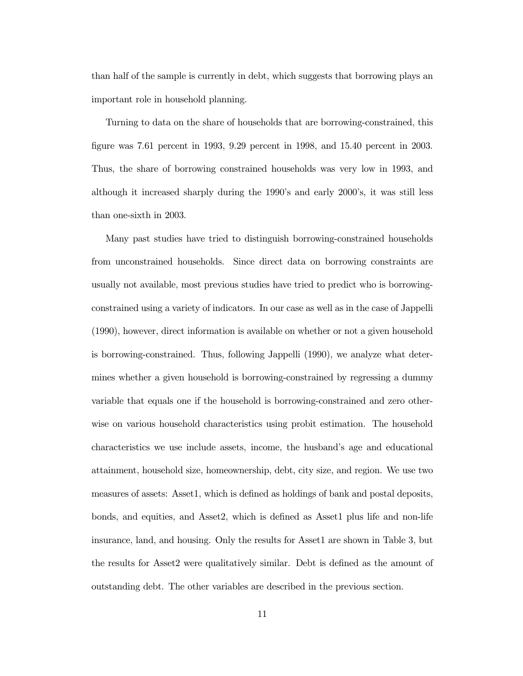than half of the sample is currently in debt, which suggests that borrowing plays an important role in household planning.

Turning to data on the share of households that are borrowing-constrained, this figure was 7.61 percent in 1993, 9.29 percent in 1998, and 15.40 percent in 2003. Thus, the share of borrowing constrained households was very low in 1993, and although it increased sharply during the 1990's and early 2000's, it was still less than one-sixth in 2003.

Many past studies have tried to distinguish borrowing-constrained households from unconstrained households. Since direct data on borrowing constraints are usually not available, most previous studies have tried to predict who is borrowingconstrained using a variety of indicators. In our case as well as in the case of Jappelli (1990), however, direct information is available on whether or not a given household is borrowing-constrained. Thus, following Jappelli (1990), we analyze what determines whether a given household is borrowing-constrained by regressing a dummy variable that equals one if the household is borrowing-constrained and zero otherwise on various household characteristics using probit estimation. The household characteristics we use include assets, income, the husband's age and educational attainment, household size, homeownership, debt, city size, and region. We use two measures of assets: Asset1, which is defined as holdings of bank and postal deposits, bonds, and equities, and Asset2, which is defined as Asset1 plus life and non-life insurance, land, and housing. Only the results for Asset1 are shown in Table 3, but the results for Asset2 were qualitatively similar. Debt is defined as the amount of outstanding debt. The other variables are described in the previous section.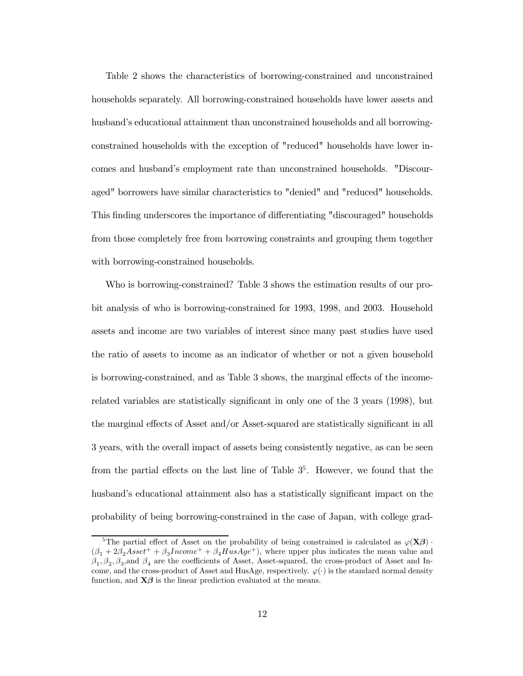Table 2 shows the characteristics of borrowing-constrained and unconstrained households separately. All borrowing-constrained households have lower assets and husband's educational attainment than unconstrained households and all borrowingconstrained households with the exception of "reduced" households have lower incomes and husband's employment rate than unconstrained households. "Discouraged" borrowers have similar characteristics to "denied" and "reduced" households. This finding underscores the importance of differentiating "discouraged" households from those completely free from borrowing constraints and grouping them together with borrowing-constrained households.

Who is borrowing-constrained? Table 3 shows the estimation results of our probit analysis of who is borrowing-constrained for 1993, 1998, and 2003. Household assets and income are two variables of interest since many past studies have used the ratio of assets to income as an indicator of whether or not a given household is borrowing-constrained, and as Table 3 shows, the marginal effects of the incomerelated variables are statistically significant in only one of the 3 years (1998), but the marginal effects of Asset and/or Asset-squared are statistically significant in all 3 years, with the overall impact of assets being consistently negative, as can be seen from the partial effects on the last line of Table  $3<sup>5</sup>$ . However, we found that the husband's educational attainment also has a statistically significant impact on the probability of being borrowing-constrained in the case of Japan, with college grad-

<sup>&</sup>lt;sup>5</sup>The partial effect of Asset on the probability of being constrained is calculated as  $\varphi(\mathbf{X}\boldsymbol{\beta})$ .  $(\beta_1 + 2\beta_2 A s s e t^+ + \beta_3 Income^+ + \beta_4 H u s A g e^+),$  where upper plus indicates the mean value and  $\beta_1, \beta_2, \beta_3$ , and  $\beta_4$  are the coefficients of Asset, Asset-squared, the cross-product of Asset and Income, and the cross-product of Asset and HusAge, respectively.  $\varphi(\cdot)$  is the standard normal density function, and  $X\beta$  is the linear prediction evaluated at the means.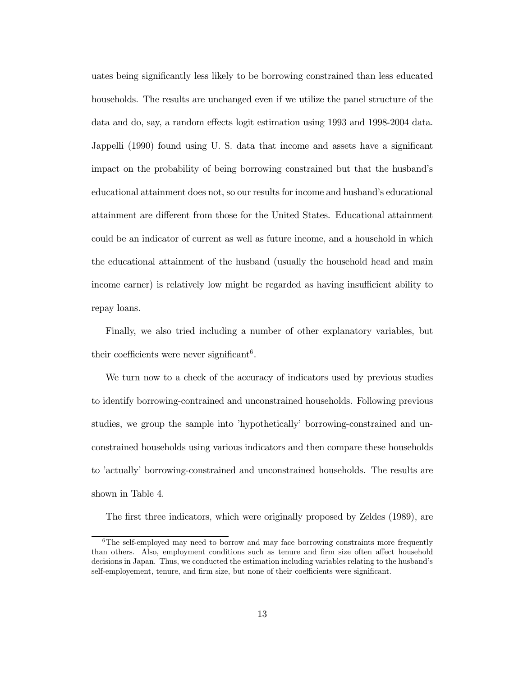uates being significantly less likely to be borrowing constrained than less educated households. The results are unchanged even if we utilize the panel structure of the data and do, say, a random effects logit estimation using 1993 and 1998-2004 data. Jappelli (1990) found using U. S. data that income and assets have a significant impact on the probability of being borrowing constrained but that the husband's educational attainment does not, so our results for income and husband's educational attainment are different from those for the United States. Educational attainment could be an indicator of current as well as future income, and a household in which the educational attainment of the husband (usually the household head and main income earner) is relatively low might be regarded as having insufficient ability to repay loans.

Finally, we also tried including a number of other explanatory variables, but their coefficients were never significant<sup>6</sup>.

We turn now to a check of the accuracy of indicators used by previous studies to identify borrowing-contrained and unconstrained households. Following previous studies, we group the sample into 'hypothetically' borrowing-constrained and unconstrained households using various indicators and then compare these households to 'actually' borrowing-constrained and unconstrained households. The results are shown in Table 4.

The first three indicators, which were originally proposed by Zeldes (1989), are

<sup>&</sup>lt;sup>6</sup>The self-employed may need to borrow and may face borrowing constraints more frequently than others. Also, employment conditions such as tenure and firm size often affect household decisions in Japan. Thus, we conducted the estimation including variables relating to the husband's self-employement, tenure, and firm size, but none of their coefficients were significant.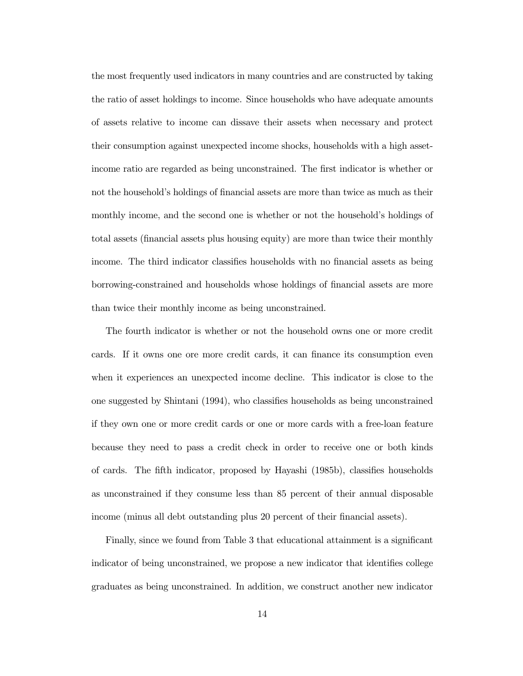the most frequently used indicators in many countries and are constructed by taking the ratio of asset holdings to income. Since households who have adequate amounts of assets relative to income can dissave their assets when necessary and protect their consumption against unexpected income shocks, households with a high assetincome ratio are regarded as being unconstrained. The first indicator is whether or not the household's holdings of financial assets are more than twice as much as their monthly income, and the second one is whether or not the household's holdings of total assets (financial assets plus housing equity) are more than twice their monthly income. The third indicator classifies households with no financial assets as being borrowing-constrained and households whose holdings of financial assets are more than twice their monthly income as being unconstrained.

The fourth indicator is whether or not the household owns one or more credit cards. If it owns one ore more credit cards, it can finance its consumption even when it experiences an unexpected income decline. This indicator is close to the one suggested by Shintani (1994), who classifies households as being unconstrained if they own one or more credit cards or one or more cards with a free-loan feature because they need to pass a credit check in order to receive one or both kinds of cards. The fifth indicator, proposed by Hayashi (1985b), classifies households as unconstrained if they consume less than 85 percent of their annual disposable income (minus all debt outstanding plus 20 percent of their financial assets).

Finally, since we found from Table 3 that educational attainment is a significant indicator of being unconstrained, we propose a new indicator that identifies college graduates as being unconstrained. In addition, we construct another new indicator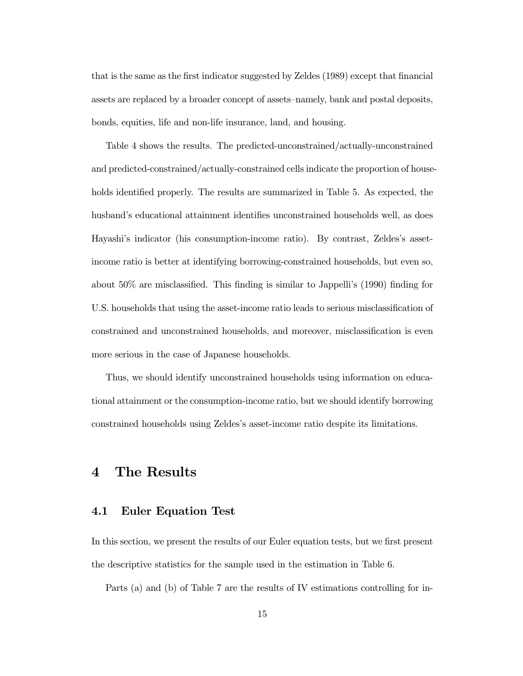that is the same as the first indicator suggested by Zeldes (1989) except that financial assets are replaced by a broader concept of assets—namely, bank and postal deposits, bonds, equities, life and non-life insurance, land, and housing.

Table 4 shows the results. The predicted-unconstrained/actually-unconstrained and predicted-constrained/actually-constrained cells indicate the proportion of households identified properly. The results are summarized in Table 5. As expected, the husband's educational attainment identifies unconstrained households well, as does Hayashi's indicator (his consumption-income ratio). By contrast, Zeldes's assetincome ratio is better at identifying borrowing-constrained households, but even so, about 50% are misclassified. This finding is similar to Jappelli's (1990) finding for U.S. households that using the asset-income ratio leads to serious misclassification of constrained and unconstrained households, and moreover, misclassification is even more serious in the case of Japanese households.

Thus, we should identify unconstrained households using information on educational attainment or the consumption-income ratio, but we should identify borrowing constrained households using Zeldes's asset-income ratio despite its limitations.

# 4 The Results

### 4.1 Euler Equation Test

In this section, we present the results of our Euler equation tests, but we first present the descriptive statistics for the sample used in the estimation in Table 6.

Parts (a) and (b) of Table 7 are the results of IV estimations controlling for in-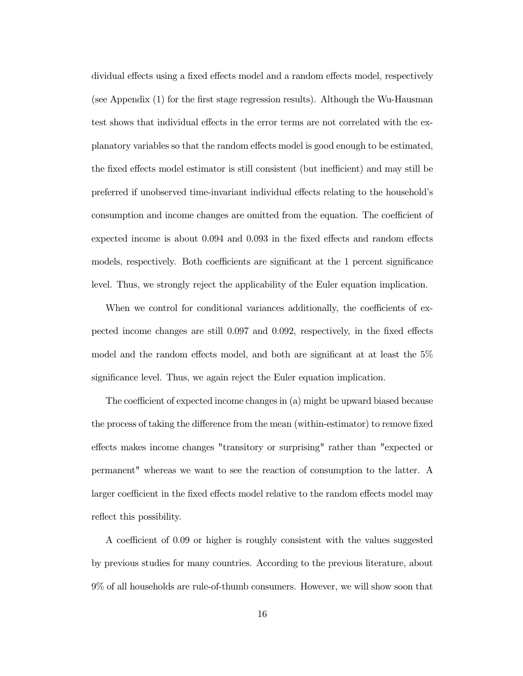dividual effects using a fixed effects model and a random effects model, respectively (see Appendix (1) for the first stage regression results). Although the Wu-Hausman test shows that individual effects in the error terms are not correlated with the explanatory variables so that the random effects model is good enough to be estimated, the fixed effects model estimator is still consistent (but inefficient) and may still be preferred if unobserved time-invariant individual effects relating to the household's consumption and income changes are omitted from the equation. The coefficient of expected income is about 0.094 and 0.093 in the fixed effects and random effects models, respectively. Both coefficients are significant at the 1 percent significance level. Thus, we strongly reject the applicability of the Euler equation implication.

When we control for conditional variances additionally, the coefficients of expected income changes are still  $0.097$  and  $0.092$ , respectively, in the fixed effects model and the random effects model, and both are significant at at least the  $5\%$ significance level. Thus, we again reject the Euler equation implication.

The coefficient of expected income changes in  $(a)$  might be upward biased because the process of taking the difference from the mean (within-estimator) to remove fixed effects makes income changes "transitory or surprising" rather than "expected or permanent" whereas we want to see the reaction of consumption to the latter. A larger coefficient in the fixed effects model relative to the random effects model may reflect this possibility.

A coefficient of 0.09 or higher is roughly consistent with the values suggested by previous studies for many countries. According to the previous literature, about 9% of all households are rule-of-thumb consumers. However, we will show soon that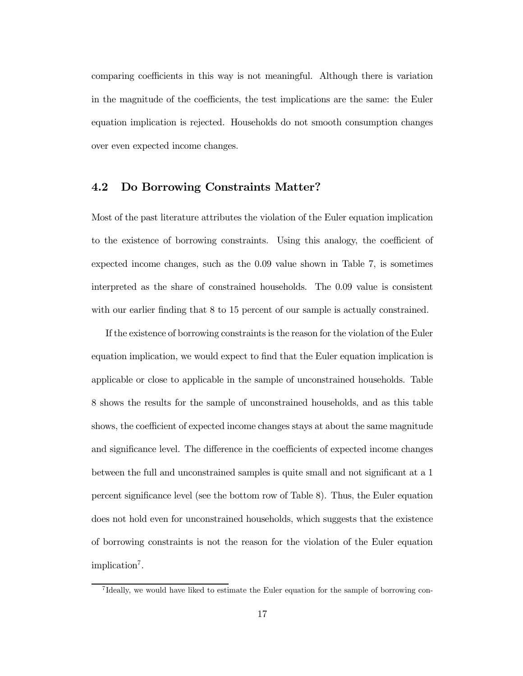comparing coefficients in this way is not meaningful. Although there is variation in the magnitude of the coefficients, the test implications are the same: the Euler equation implication is rejected. Households do not smooth consumption changes over even expected income changes.

### 4.2 Do Borrowing Constraints Matter?

Most of the past literature attributes the violation of the Euler equation implication to the existence of borrowing constraints. Using this analogy, the coefficient of expected income changes, such as the 0.09 value shown in Table 7, is sometimes interpreted as the share of constrained households. The 0.09 value is consistent with our earlier finding that 8 to 15 percent of our sample is actually constrained.

If the existence of borrowing constraints is the reason for the violation of the Euler equation implication, we would expect to find that the Euler equation implication is applicable or close to applicable in the sample of unconstrained households. Table 8 shows the results for the sample of unconstrained households, and as this table shows, the coefficient of expected income changes stays at about the same magnitude and significance level. The difference in the coefficients of expected income changes between the full and unconstrained samples is quite small and not significant at a 1 percent significance level (see the bottom row of Table 8). Thus, the Euler equation does not hold even for unconstrained households, which suggests that the existence of borrowing constraints is not the reason for the violation of the Euler equation implication<sup>7</sup>.

<sup>7</sup> Ideally, we would have liked to estimate the Euler equation for the sample of borrowing con-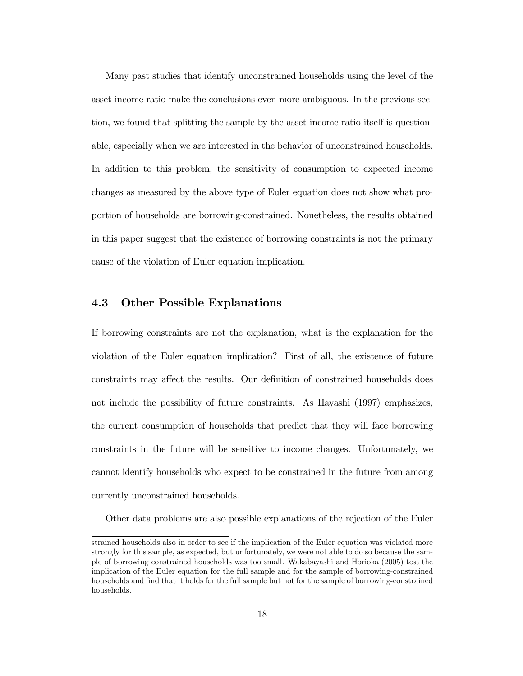Many past studies that identify unconstrained households using the level of the asset-income ratio make the conclusions even more ambiguous. In the previous section, we found that splitting the sample by the asset-income ratio itself is questionable, especially when we are interested in the behavior of unconstrained households. In addition to this problem, the sensitivity of consumption to expected income changes as measured by the above type of Euler equation does not show what proportion of households are borrowing-constrained. Nonetheless, the results obtained in this paper suggest that the existence of borrowing constraints is not the primary cause of the violation of Euler equation implication.

### 4.3 Other Possible Explanations

If borrowing constraints are not the explanation, what is the explanation for the violation of the Euler equation implication? First of all, the existence of future constraints may affect the results. Our definition of constrained households does not include the possibility of future constraints. As Hayashi (1997) emphasizes, the current consumption of households that predict that they will face borrowing constraints in the future will be sensitive to income changes. Unfortunately, we cannot identify households who expect to be constrained in the future from among currently unconstrained households.

Other data problems are also possible explanations of the rejection of the Euler

strained households also in order to see if the implication of the Euler equation was violated more strongly for this sample, as expected, but unfortunately, we were not able to do so because the sample of borrowing constrained households was too small. Wakabayashi and Horioka (2005) test the implication of the Euler equation for the full sample and for the sample of borrowing-constrained households and find that it holds for the full sample but not for the sample of borrowing-constrained households.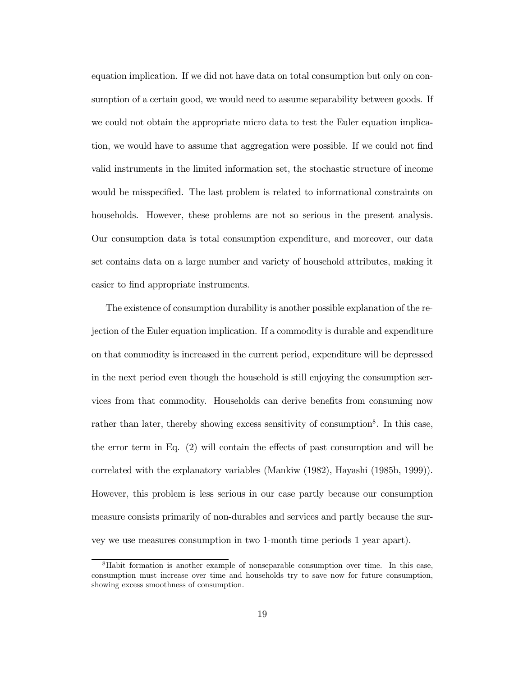equation implication. If we did not have data on total consumption but only on consumption of a certain good, we would need to assume separability between goods. If we could not obtain the appropriate micro data to test the Euler equation implication, we would have to assume that aggregation were possible. If we could not find valid instruments in the limited information set, the stochastic structure of income would be misspecified. The last problem is related to informational constraints on households. However, these problems are not so serious in the present analysis. Our consumption data is total consumption expenditure, and moreover, our data set contains data on a large number and variety of household attributes, making it easier to find appropriate instruments.

The existence of consumption durability is another possible explanation of the rejection of the Euler equation implication. If a commodity is durable and expenditure on that commodity is increased in the current period, expenditure will be depressed in the next period even though the household is still enjoying the consumption services from that commodity. Households can derive benefits from consuming now rather than later, thereby showing excess sensitivity of consumption<sup>8</sup>. In this case, the error term in Eq.  $(2)$  will contain the effects of past consumption and will be correlated with the explanatory variables (Mankiw (1982), Hayashi (1985b, 1999)). However, this problem is less serious in our case partly because our consumption measure consists primarily of non-durables and services and partly because the survey we use measures consumption in two 1-month time periods 1 year apart).

<sup>8</sup>Habit formation is another example of nonseparable consumption over time. In this case, consumption must increase over time and households try to save now for future consumption, showing excess smoothness of consumption.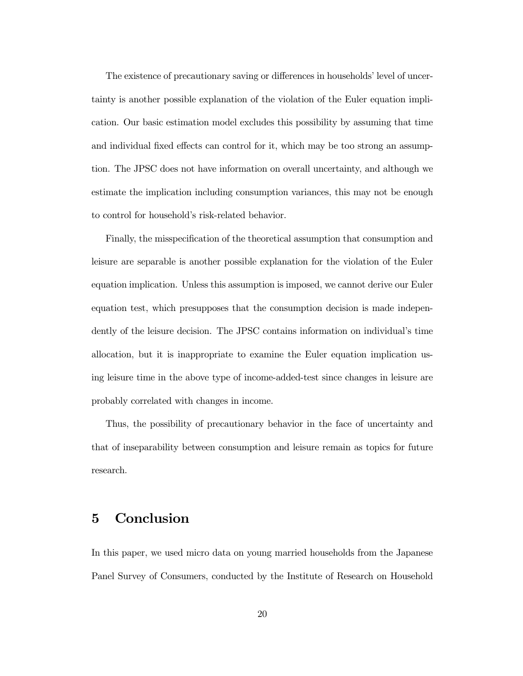The existence of precautionary saving or differences in households' level of uncertainty is another possible explanation of the violation of the Euler equation implication. Our basic estimation model excludes this possibility by assuming that time and individual fixed effects can control for it, which may be too strong an assumption. The JPSC does not have information on overall uncertainty, and although we estimate the implication including consumption variances, this may not be enough to control for household's risk-related behavior.

Finally, the misspecification of the theoretical assumption that consumption and leisure are separable is another possible explanation for the violation of the Euler equation implication. Unless this assumption is imposed, we cannot derive our Euler equation test, which presupposes that the consumption decision is made independently of the leisure decision. The JPSC contains information on individual's time allocation, but it is inappropriate to examine the Euler equation implication using leisure time in the above type of income-added-test since changes in leisure are probably correlated with changes in income.

Thus, the possibility of precautionary behavior in the face of uncertainty and that of inseparability between consumption and leisure remain as topics for future research.

# 5 Conclusion

In this paper, we used micro data on young married households from the Japanese Panel Survey of Consumers, conducted by the Institute of Research on Household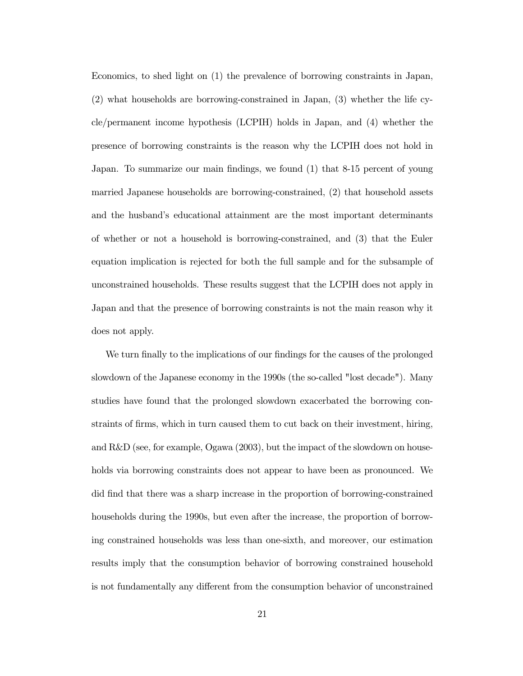Economics, to shed light on (1) the prevalence of borrowing constraints in Japan, (2) what households are borrowing-constrained in Japan, (3) whether the life cycle/permanent income hypothesis (LCPIH) holds in Japan, and (4) whether the presence of borrowing constraints is the reason why the LCPIH does not hold in Japan. To summarize our main findings, we found (1) that 8-15 percent of young married Japanese households are borrowing-constrained, (2) that household assets and the husband's educational attainment are the most important determinants of whether or not a household is borrowing-constrained, and (3) that the Euler equation implication is rejected for both the full sample and for the subsample of unconstrained households. These results suggest that the LCPIH does not apply in Japan and that the presence of borrowing constraints is not the main reason why it does not apply.

We turn finally to the implications of our findings for the causes of the prolonged slowdown of the Japanese economy in the 1990s (the so-called "lost decade"). Many studies have found that the prolonged slowdown exacerbated the borrowing constraints of firms, which in turn caused them to cut back on their investment, hiring, and R&D (see, for example, Ogawa (2003), but the impact of the slowdown on households via borrowing constraints does not appear to have been as pronounced. We did find that there was a sharp increase in the proportion of borrowing-constrained households during the 1990s, but even after the increase, the proportion of borrowing constrained households was less than one-sixth, and moreover, our estimation results imply that the consumption behavior of borrowing constrained household is not fundamentally any different from the consumption behavior of unconstrained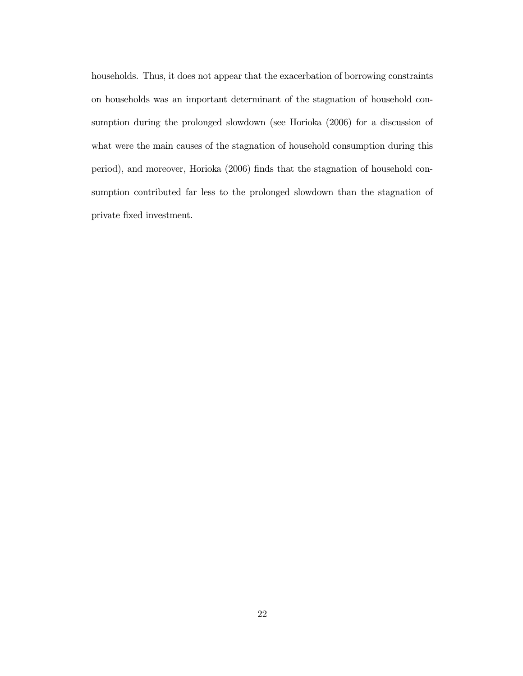households. Thus, it does not appear that the exacerbation of borrowing constraints on households was an important determinant of the stagnation of household consumption during the prolonged slowdown (see Horioka (2006) for a discussion of what were the main causes of the stagnation of household consumption during this period), and moreover, Horioka (2006) finds that the stagnation of household consumption contributed far less to the prolonged slowdown than the stagnation of private fixed investment.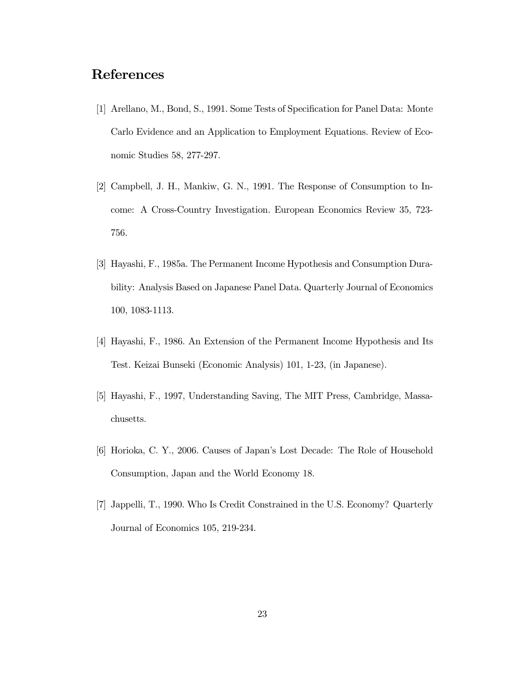# References

- [1] Arellano, M., Bond, S., 1991. Some Tests of Specification for Panel Data: Monte Carlo Evidence and an Application to Employment Equations. Review of Economic Studies 58, 277-297.
- [2] Campbell, J. H., Mankiw, G. N., 1991. The Response of Consumption to Income: A Cross-Country Investigation. European Economics Review 35, 723- 756.
- [3] Hayashi, F., 1985a. The Permanent Income Hypothesis and Consumption Durability: Analysis Based on Japanese Panel Data. Quarterly Journal of Economics 100, 1083-1113.
- [4] Hayashi, F., 1986. An Extension of the Permanent Income Hypothesis and Its Test. Keizai Bunseki (Economic Analysis) 101, 1-23, (in Japanese).
- [5] Hayashi, F., 1997, Understanding Saving, The MIT Press, Cambridge, Massachusetts.
- [6] Horioka, C. Y., 2006. Causes of Japan's Lost Decade: The Role of Household Consumption, Japan and the World Economy 18.
- [7] Jappelli, T., 1990. Who Is Credit Constrained in the U.S. Economy? Quarterly Journal of Economics 105, 219-234.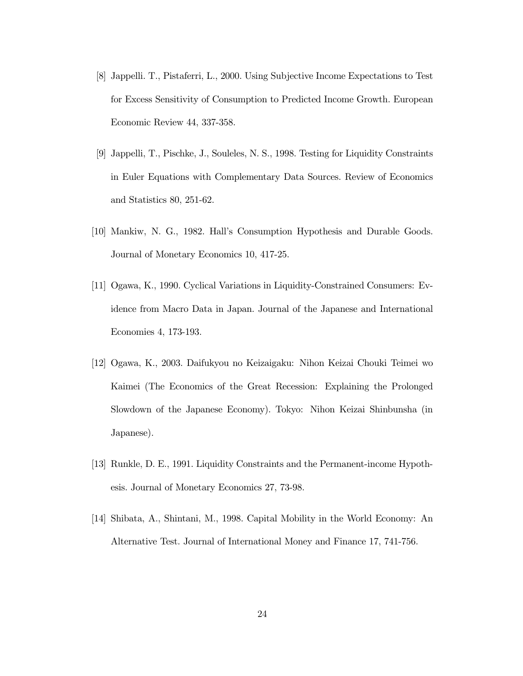- [8] Jappelli. T., Pistaferri, L., 2000. Using Subjective Income Expectations to Test for Excess Sensitivity of Consumption to Predicted Income Growth. European Economic Review 44, 337-358.
- [9] Jappelli, T., Pischke, J., Souleles, N. S., 1998. Testing for Liquidity Constraints in Euler Equations with Complementary Data Sources. Review of Economics and Statistics 80, 251-62.
- [10] Mankiw, N. G., 1982. Hall's Consumption Hypothesis and Durable Goods. Journal of Monetary Economics 10, 417-25.
- [11] Ogawa, K., 1990. Cyclical Variations in Liquidity-Constrained Consumers: Evidence from Macro Data in Japan. Journal of the Japanese and International Economies 4, 173-193.
- [12] Ogawa, K., 2003. Daifukyou no Keizaigaku: Nihon Keizai Chouki Teimei wo Kaimei (The Economics of the Great Recession: Explaining the Prolonged Slowdown of the Japanese Economy). Tokyo: Nihon Keizai Shinbunsha (in Japanese).
- [13] Runkle, D. E., 1991. Liquidity Constraints and the Permanent-income Hypothesis. Journal of Monetary Economics 27, 73-98.
- [14] Shibata, A., Shintani, M., 1998. Capital Mobility in the World Economy: An Alternative Test. Journal of International Money and Finance 17, 741-756.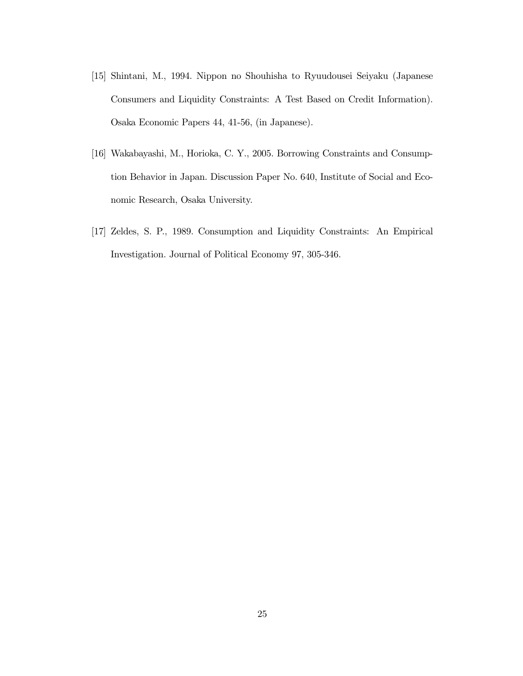- [15] Shintani, M., 1994. Nippon no Shouhisha to Ryuudousei Seiyaku (Japanese Consumers and Liquidity Constraints: A Test Based on Credit Information). Osaka Economic Papers 44, 41-56, (in Japanese).
- [16] Wakabayashi, M., Horioka, C. Y., 2005. Borrowing Constraints and Consumption Behavior in Japan. Discussion Paper No. 640, Institute of Social and Economic Research, Osaka University.
- [17] Zeldes, S. P., 1989. Consumption and Liquidity Constraints: An Empirical Investigation. Journal of Political Economy 97, 305-346.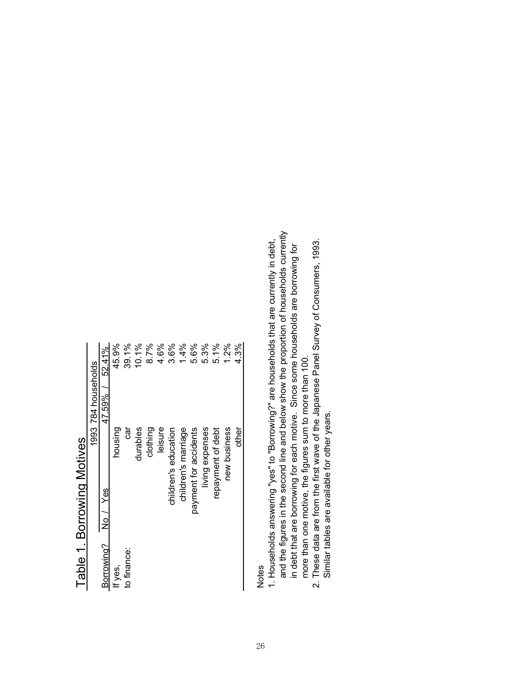| I ania I Dollowini Mole | 1993 784 households | 52.41%<br>47.59% /<br>No / Yes | 45.9%<br>housing | 39.1%<br>ថ្ងៃ | 10.1%<br>durables | 8.7%<br>clothing | 4.6%<br>leisure | 3.6%<br>children's education | 1.4%<br>children's marriage | 5.6%<br>payment for accidents | 5.3%<br>living expenses | 5.1%<br>repayment of debt | 1.2%<br>new business | 4.3%<br>other |
|-------------------------|---------------------|--------------------------------|------------------|---------------|-------------------|------------------|-----------------|------------------------------|-----------------------------|-------------------------------|-------------------------|---------------------------|----------------------|---------------|
|                         |                     | Borrowing?                     | If yes,          | to finance:   |                   |                  |                 |                              |                             |                               |                         |                           |                      |               |

# Table 1 Romowing Motives Table 1. Borrowing Motives

Notes

- and the figures in the second line and below show the proportion of households currently and the figures in the second line and below show the proportion of households currently 1. Households answering "yes" to "Borrowing?" are households that are currently in debt, 1. Households answering "yes" to "Borrowing?" are households that are currently in debt, in debt that are borrowing for each motive. Since some households are borrowing for in debt that are borrowing for each motive. Since some households are borrowing for more than one motive, the figures sum to more than 100. more than one motive, the figures sum to more than 100.
	- 2. These data are from the first wave of the Japanese Panel Survey of Consumers, 1993. 2. These data are from the first wave of the Japanese Panel Survey of Consumers, 1993. Similar tables are available for other years. Similar tables are available for other years.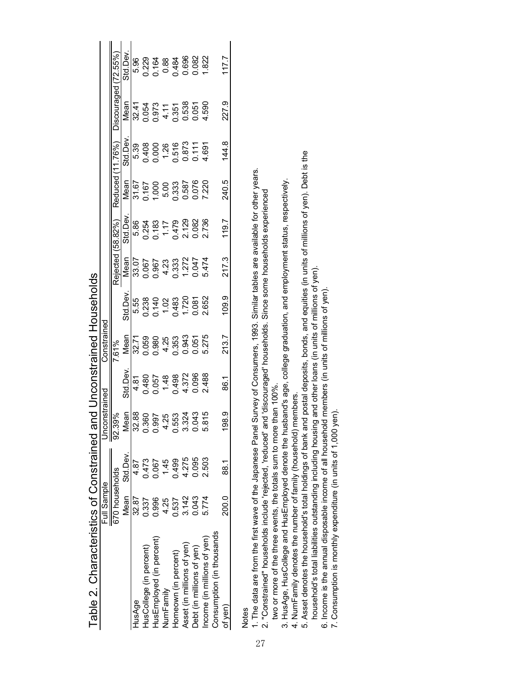|                            | Full Sample    |               | Inconstrained                               |                | Constrained                                                    |                                                                          |                                                     |                                                            |                                                                                                                          |                                                                                                 |                                                               |                                            |
|----------------------------|----------------|---------------|---------------------------------------------|----------------|----------------------------------------------------------------|--------------------------------------------------------------------------|-----------------------------------------------------|------------------------------------------------------------|--------------------------------------------------------------------------------------------------------------------------|-------------------------------------------------------------------------------------------------|---------------------------------------------------------------|--------------------------------------------|
|                            | 670 households |               | 92.39%                                      |                | 7.61%                                                          |                                                                          | Rejected                                            | (58.82%                                                    | Reduced                                                                                                                  | 76%)                                                                                            | pagann                                                        |                                            |
|                            |                | Mean Std.Dev. | Mean                                        | Std.Dev        | Mean                                                           | Std.Dev.                                                                 | Mean                                                | Std.Dev                                                    | Mean                                                                                                                     | Std.Dev                                                                                         | Mean                                                          | Std.Dev                                    |
| HusAge                     | 32.87          | 4.87          | 32.88                                       | 4.81           |                                                                | 5.55                                                                     |                                                     |                                                            |                                                                                                                          |                                                                                                 |                                                               | 5.96                                       |
| HusCollege (in percent)    | 0.337          | 0.473         | 0.360                                       |                | $32.71$<br>0.059<br>0.080<br>0.353<br>0.051<br>0.0051<br>5.275 |                                                                          | 33.07<br>0.067<br>0.967<br>0.333<br>0.047<br>0.0474 | 5.86<br>0.254<br>0.183<br>0.479<br>0.082<br>0.129<br>0.082 | $\begin{array}{l} 31.67 \\ 31.67 \\ 0.167 \\ 0.000 \\ 1.000 \\ 5.00 \\ 0.587 \\ 0.587 \\ 0.076 \\ 0.7220 \\ \end{array}$ | $5.39$<br>$0.408$<br>$0.0000$<br>$0.575$<br>$0.877$<br>$0.007$<br>$0.007$<br>$0.007$<br>$0.007$ | $32.41$<br>0.054<br>0.073<br>0.538<br>0.055<br>0.055<br>4.590 |                                            |
| HusEmployed (in percent)   | 0.996          | 0.067         | 0.997                                       | 0.480<br>0.057 |                                                                |                                                                          |                                                     |                                                            |                                                                                                                          |                                                                                                 |                                                               |                                            |
| NumFamily                  | 4.25           | 1.45          |                                             |                |                                                                |                                                                          |                                                     |                                                            |                                                                                                                          |                                                                                                 |                                                               |                                            |
| Homeown (in percent)       | 0.537          | 0.499         | 4.25<br>0.5534<br>0.324<br>0.815<br>0.0.0.0 | 1.48<br>0.498  |                                                                | $0.238$<br>$0.140$<br>$1.02$<br>$0.483$<br>$1.720$<br>$0.081$<br>$0.082$ |                                                     |                                                            |                                                                                                                          |                                                                                                 |                                                               | 0.229<br>0.164<br>0.884<br>0.696<br>0.0822 |
| Asset (in millions of yen) | 3.142          | 4.275         |                                             |                |                                                                |                                                                          |                                                     |                                                            |                                                                                                                          |                                                                                                 |                                                               |                                            |
| Debt (in millions of yen)  | 0.043          | 0.095         |                                             | 4.372<br>0.096 |                                                                |                                                                          |                                                     |                                                            |                                                                                                                          |                                                                                                 |                                                               |                                            |
| ncome (in millions of yen) | 5.774          | 2.503         |                                             | 2.488          |                                                                |                                                                          |                                                     |                                                            |                                                                                                                          |                                                                                                 |                                                               |                                            |
| Consumption (in thousands  |                |               |                                             |                |                                                                |                                                                          |                                                     |                                                            |                                                                                                                          |                                                                                                 |                                                               |                                            |
| of yen                     | 200.0          | 88.1          | <u>თ</u><br><u>ვგ</u>                       | 86.1           | 213.7                                                          | 109.9                                                                    | 217.3                                               | 119.7                                                      | 240.5                                                                                                                    | 144.8                                                                                           | 227.9                                                         |                                            |
|                            |                |               |                                             |                |                                                                |                                                                          |                                                     |                                                            |                                                                                                                          |                                                                                                 |                                                               |                                            |

Table 2. Characteristics of Constrained and Unconstrained Households Table 2. Characteristics of Constrained and Unconstrained Households

Notes

27

1. The data are from the first wave of the Japanese Panel Survey of Consumers, 1993. Similar tables are available for other years. 1. The data are from the first wave of the Japanese Panel Survey of Consumers, 1993. Similar tables are available for other years.

2. "Constrained" households include 'rejected, 'reduced' and 'discouraged' households. Since some households experienced 2. "Constrained" households include 'rejected, 'reduced' and 'discouraged' households. Since some households experienced

 two or more of the three events, the totals sum to more than 100%. two or more of the three events, the totals sum to more than 100%.

3. HusAge, HusCollege and HusEmployed denote the husband's age, college graduation, and employment status, respectively. 3. HusAge, HusCollege and HusEmployed denote the husband's age, college graduation, and employment status, respectively.

4. NumFamily denotes the number of family (household) members. 4. NumFamily denotes the number of family (household) members.

5. Asset denotes the household's total holdings of bank and postal deposits, bonds, and equities (in units of millions of yen). Debt is the 5. Asset denotes the household's total holdings of bank and postal deposits, bonds, and equities (in units of millions of yen). Debt is the household's total liabilities outstanding including housing and other loans (in units of millions of yen). household's total liabilities outstanding including housing and other loans (in units of millions of yen).

6. Income is the annual disposable income of all household members (in units of millions of yen). 6. Income is the annual disposable income of all household members (in units of millions of yen).

7. Consumption is monthly expenditure (in units of 1,000 yen). 7. Consumption is monthly expenditure (in units of 1,000 yen).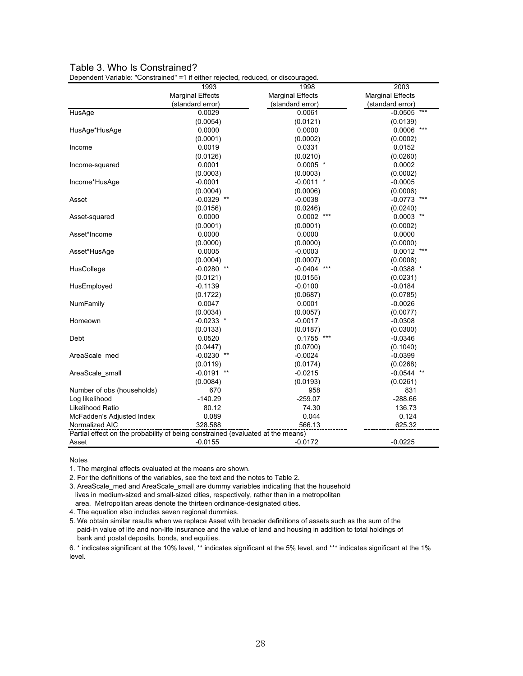### Table 3. Who Is Constrained?

Dependent Variable: "Constrained" =1 if either rejected, reduced, or discouraged.

|                                                                                 | 1993                    | 1998                    | 2003                    |
|---------------------------------------------------------------------------------|-------------------------|-------------------------|-------------------------|
|                                                                                 | <b>Marginal Effects</b> | <b>Marginal Effects</b> | <b>Marginal Effects</b> |
|                                                                                 | (standard error)        | (standard error)        | (standard error)        |
| HusAge                                                                          | 0.0029                  | 0.0061                  | $***$<br>$-0.0505$      |
|                                                                                 | (0.0054)                | (0.0121)                | (0.0139)                |
| HusAge*HusAge                                                                   | 0.0000                  | 0.0000                  | 0.0006<br>$***$         |
|                                                                                 | (0.0001)                | (0.0002)                | (0.0002)                |
| Income                                                                          | 0.0019                  | 0.0331                  | 0.0152                  |
|                                                                                 | (0.0126)                | (0.0210)                | (0.0260)                |
| Income-squared                                                                  | 0.0001                  | $0.0005$ *              | 0.0002                  |
|                                                                                 | (0.0003)                | (0.0003)                | (0.0002)                |
| Income*HusAge                                                                   | $-0.0001$               | $-0.0011$ *             | $-0.0005$               |
|                                                                                 | (0.0004)                | (0.0006)                | (0.0006)                |
| Asset                                                                           | $-0.0329$ **            | $-0.0038$               | $-0.0773$               |
|                                                                                 | (0.0156)                | (0.0246)                | (0.0240)                |
| Asset-squared                                                                   | 0.0000                  | $0.0002$ ***            | $0.0003$ **             |
|                                                                                 | (0.0001)                | (0.0001)                | (0.0002)                |
| Asset*Income                                                                    | 0.0000                  | 0.0000                  | 0.0000                  |
|                                                                                 | (0.0000)                | (0.0000)                | (0.0000)                |
| Asset*HusAge                                                                    | 0.0005                  | $-0.0003$               | 0.0012                  |
|                                                                                 | (0.0004)                | (0.0007)                | (0.0006)                |
| HusCollege                                                                      | $-0.0280$ **            | $-0.0404$               | $-0.0388$ *             |
|                                                                                 | (0.0121)                | (0.0155)                | (0.0231)                |
| HusEmployed                                                                     | $-0.1139$               | $-0.0100$               | $-0.0184$               |
|                                                                                 | (0.1722)                | (0.0687)                | (0.0785)                |
| NumFamily                                                                       | 0.0047                  | 0.0001                  | $-0.0026$               |
|                                                                                 | (0.0034)                | (0.0057)                | (0.0077)                |
| Homeown                                                                         | $-0.0233$ *             | $-0.0017$               | $-0.0308$               |
|                                                                                 | (0.0133)                | (0.0187)                | (0.0300)                |
| Debt                                                                            | 0.0520                  | 0.1755                  | $-0.0346$               |
|                                                                                 | (0.0447)                | (0.0700)                | (0.1040)                |
| AreaScale med                                                                   | $-0.0230$ **            | $-0.0024$               | $-0.0399$               |
|                                                                                 | (0.0119)                | (0.0174)                | (0.0268)                |
| AreaScale small                                                                 | $-0.0191$ **            | $-0.0215$               | $-0.0544$ **            |
|                                                                                 | (0.0084)                | (0.0193)                | (0.0261)                |
| Number of obs (households)                                                      | 670                     | 958                     | 831                     |
| Log likelihood                                                                  | $-140.29$               | $-259.07$               | $-288.66$               |
| Likelihood Ratio                                                                | 80.12                   | 74.30                   | 136.73                  |
| McFadden's Adjusted Index                                                       | 0.089                   | 0.044                   | 0.124                   |
| Normalized AIC                                                                  | 328.588                 | 566.13                  | 625.32                  |
| Partial effect on the probability of being constrained (evaluated at the means) |                         |                         |                         |
| Asset                                                                           | $-0.0155$               | $-0.0172$               | $-0.0225$               |

Notes

1. The marginal effects evaluated at the means are shown.

2. For the definitions of the variables, see the text and the notes to Table 2.

3. AreaScale med and AreaScale small are dummy variables indicating that the household lives in medium-sized and small-sized cities, respectively, rather than in a metropolitan area. Metropolitan areas denote the thirteen ordinance-designated cities.

4. The equation also includes seven regional dummies.

5. We obtain similar results when we replace Asset with broader definitions of assets such as the sum of the paid-in value of life and non-life insurance and the value of land and housing in addition to total holdings of bank and postal deposits, bonds, and equities.

6. \* indicates significant at the 10% level, \*\* indicates significant at the 5% level, and \*\*\* indicates significant at the 1% level.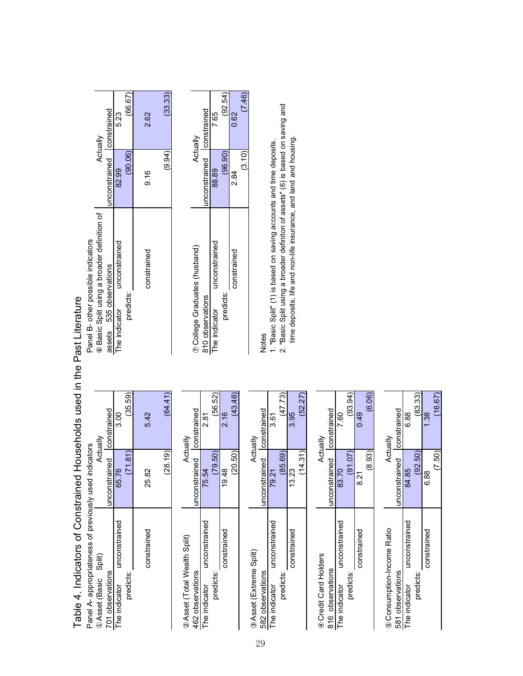| <b>SALLES</b><br>)<br>)<br>)<br>)                                                           | )<br>5<br>-               |
|---------------------------------------------------------------------------------------------|---------------------------|
| a Indicatore of Constrained Households used in the Past Literal<br>$\overline{\phantom{a}}$ | <br> <br> <br>。<br>。<br>j |

| Actually                                  |                          | 523                           |           | 2.62<br>2.  |
|-------------------------------------------|--------------------------|-------------------------------|-----------|-------------|
|                                           | unconstrained constraine | 82.99                         | (90.06)   | 9.16        |
| Basic Split using a broader definition of | assets 535 observations  | The indicator unconstrained   | predicts: | constrained |
| Actually                                  |                          | $\frac{8}{3}$                 | (35.59)   | 5.42        |
|                                           | constrained constrained  | 65.76                         | (71.81)   | 25.82       |
| Asset (Basic Split)                       | 701 observations         | unconstrained<br>he indicator | redicts:  | constrained |

| Asset (Total Wealth Split)  |                           | Actually |                               |
|-----------------------------|---------------------------|----------|-------------------------------|
| 462 observations            | unconstrained constrained |          | College Graduates (husband)   |
| The indicator unconstrained | 75.54                     |          | 310 observations              |
| predicts:                   | (79.50)                   | (56.52)  | unconstraine<br>The indicator |
| constrained                 | 19.48                     | 2.16     | predicts:                     |
|                             | (20.50)                   | (43.48)  | onstrained                    |

| sset (Extreme Split)       |                           | Actually |                                                                        |
|----------------------------|---------------------------|----------|------------------------------------------------------------------------|
| 582 observations           | unconstrained constrained |          | lotes                                                                  |
| he indicator unconstrained | 79.21                     | 361<br>თ | . "Basic Split" (1) is based on saving accounts and time deposits.     |
| redicts:                   | (85.69)                   | (47.73)  | 2. "Basic Split using a broader definiton of assets" (6) is based on s |
| constrained                | 13.23                     |          | time deposits, life and non-life insurance, and land and housing.      |
|                            | (14.31                    | (52.27)  |                                                                        |
|                            |                           |          |                                                                        |

| Actually            |                           | $\frac{6}{3}$ | (93.94)   | 0.49        | (6.06) |  |
|---------------------|---------------------------|---------------|-----------|-------------|--------|--|
|                     | unconstrained constrained | 83.70         | (91.07)   | 821         | (8.93) |  |
|                     |                           | unconstrained |           | constrained |        |  |
| Credit Card Holders | 816 observations          | The indicator | predicts: |             |        |  |

| Consumption-Income Ratio       |                           | Actually |
|--------------------------------|---------------------------|----------|
| 581 observations               | unconstrained constrained |          |
| unconstrained<br>The indicator | 84.85                     | 88       |
| predicts:                      | (92.50)                   | (83.33)  |
| constrained                    | 88                        | ٩Á       |
|                                | (7.50)                    | (16.67)  |

|                                                                                                                                                                                                                                 | Actually                                  |                           | 5.3                         | (66.67)   | 2.62        | (33.33) |
|---------------------------------------------------------------------------------------------------------------------------------------------------------------------------------------------------------------------------------|-------------------------------------------|---------------------------|-----------------------------|-----------|-------------|---------|
|                                                                                                                                                                                                                                 |                                           | unconstrained constrained | 82.99                       | (90.06)   | 9.16        | (9.94)  |
| כי המנוס ביותר המנוס להתנוע ביותר המנוס ביותר המנוס ביותר ביותר ביותר ביותר ביותר ביותר ביותר ביותר ביותר ביות                                                                                                                  | Basic Split using a broader definition of | assets 535 observations   | The indicator unconstrained | predicts: | constrained |         |
|                                                                                                                                                                                                                                 |                                           |                           | 3.00                        | (35.59)   | 5.42        | (64.41) |
|                                                                                                                                                                                                                                 | Actually                                  | unconstrained constrained | 65.76                       | $^{181}$  | 25.82       | 28.19   |
| ר איינד איינד איינד איינד איינד איינד איינד איינד איינד איינד איינד איינד איינד איינד איינד איינד איינד איינד א<br>האט איינד איינד איינד איינד איינד איינד איינד איינד איינד איינד איינד איינד איינד איינד איינד איינד איינד אי | Asset (Basic Split)                       | 701 observations          | The indicator unconstrained | predicts: | constrained |         |

 $(28.19)$ 

|               | Actually                    |                               | 7.65                          | (92.54)     | 0.62        | (7.46) |
|---------------|-----------------------------|-------------------------------|-------------------------------|-------------|-------------|--------|
|               |                             | nconstrained constrained      | 38.89                         | (96.90)     | 2.84        | (3.10) |
|               | College Graduates (husband) | 810 observations              | unconstrained<br>he indicator | predicts:   | constrained |        |
|               | ned constrained             |                               | (56.52)                       |             | (43.48)     |        |
| $\frac{1}{2}$ | inconstrai                  | 5.54                          | 9.50                          | 9.48        | 0.50        |        |
|               | 462 observations            | unconstrained<br>he indicator | redicts:                      | constrained |             |        |

1. "Basic Split" (1) is based on saving accounts and time deposits.<br>2. "Basic Split using a broader definiton of assets" (6) is based on saving and<br>time deposits, life and non-life insurance, and land and housing. predicts: (85.69) (47.73) 2. "Basic Split using a broader definiton of assets" (6) is based on saving and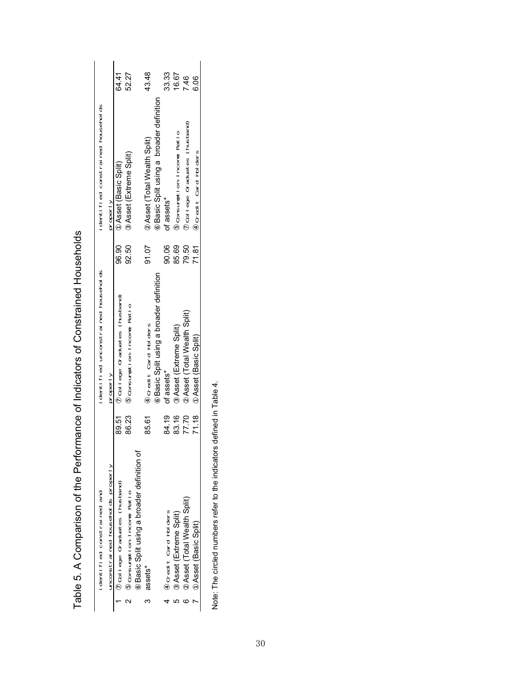|    | identified constrained and                |       | identified unconstrained households    |       | identified constrained households      |       |
|----|-------------------------------------------|-------|----------------------------------------|-------|----------------------------------------|-------|
|    | unconstrained households properly         |       | properl y                              |       | properl v                              |       |
|    | College Graduates (husband)               | 89.51 | College Graduates (husband)            | 96.90 | Asset (Basic Split)                    | 64.41 |
|    | Consumption-Income Ratio                  | 86.23 | Consumption-Income Ratio               | 92.50 | Asset (Extreme Split)                  | 52.27 |
|    | Basic Split using a broader definition of |       |                                        |       |                                        |       |
| œ. | assets*                                   | 85.61 | Credit Card Holders                    | 91.07 | Asset (Total Wealth Split)             | 43.48 |
|    |                                           |       | Basic Split using a broader definition |       | Basic Split using a broader definition |       |
|    | Credit Card Holders                       | 84.19 | of assets*                             | 90.06 | of assets*                             | 33.33 |
|    | Asset (Extreme Split)                     | 83.16 | Asset (Extreme Split)                  | 85.69 | Consumption-Income Ratio               | 16.67 |
|    | Asset (Total Wealth Split)                | 77.70 | Asset (Total Wealth Split)             | 79.50 | College Graduates (husband)            | 7.46  |
|    | Asset (Basic Split)                       | 71.18 | Asset (Basic Split)                    | 71.81 | Credit Card Holders                    | 6.06  |

Table 5. A Comparison of the Performance of Indicators of Constrained Households Table 5. A Comparison of the Performance of Indicators of Constrained Households

Note: The circled numbers refer to the indicators defined in Table 4. Note: The circled numbers refer to the indicators defined in Table 4.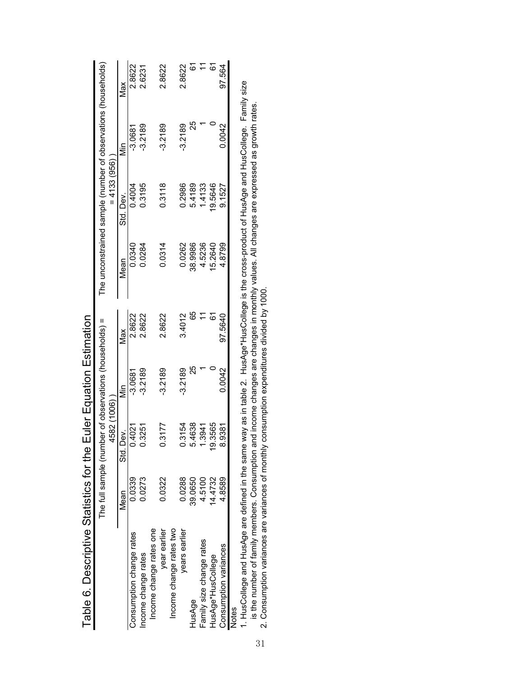|                                                                                                                                                 |         | The full sample (number of observations (households) = |                                           |         |         | The unconstrained sample (number of observations (households) |            |          |
|-------------------------------------------------------------------------------------------------------------------------------------------------|---------|--------------------------------------------------------|-------------------------------------------|---------|---------|---------------------------------------------------------------|------------|----------|
|                                                                                                                                                 |         | 4582 (1006)                                            |                                           |         |         | $= 4133(956)$                                                 |            |          |
|                                                                                                                                                 | Mean    | Dev.<br>$\frac{1}{50}$                                 | iin                                       | Max     | Mean    | Std. Dev.                                                     | iin<br>Min | Max      |
| Consumption change rates                                                                                                                        | 0.0339  | 0.4021                                                 | $-3.0681$                                 | 2.8622  | 0.0340  | 0.4004                                                        | $-3.0681$  | 2.8622   |
| Income change rates                                                                                                                             | 0.0273  | .3251                                                  | $-3.2189$                                 | 2.8622  | 0.0284  | 0.3195                                                        | $-3.2189$  | 2.6231   |
| Income change rates one                                                                                                                         |         |                                                        |                                           |         |         |                                                               |            |          |
| year earlier                                                                                                                                    | 0.0322  | 1.3177                                                 | $-3.2189$                                 | 2.8622  | 0.0314  | 0.3118                                                        | $-3.2189$  | 2.8622   |
| Income change rates two                                                                                                                         |         |                                                        |                                           |         |         |                                                               |            |          |
| years earlier                                                                                                                                   | 0.0288  | 13154                                                  | $-3.2189$                                 | 3.4012  | 0.0262  | 0.2986                                                        | $-3.2189$  | 2.8622   |
| HusAge                                                                                                                                          | 39.0650 | 4638                                                   | 25                                        | 65      | 38.9986 | 5.4189                                                        | 25         | 61       |
| Family size change rates                                                                                                                        | 4.5100  | .3941                                                  |                                           |         | 4.5236  | 1.4133                                                        |            |          |
| HusAge*HusCollege                                                                                                                               | 14.4732 | .3565<br>င္                                            |                                           | ত<br>ত  | 15.2640 | 19.5646                                                       |            | <u>৯</u> |
| Consumption variances                                                                                                                           | 4.8589  | .9381                                                  | 0.0042                                    | 97.5640 | 4.8799  | 9.1527                                                        | 0.0042     | 97.564   |
| Notes                                                                                                                                           |         |                                                        |                                           |         |         |                                                               |            |          |
| . HusCollege and HusAge are defined in the same way as in table 2. HusAge*HusCollege is the cross-product of HusAge and HusCollege. Family size |         |                                                        |                                           |         |         |                                                               |            |          |
| is the number of family members. Consumption and income changes are changes in monthly values. All changes are expressed as growth rates.       |         |                                                        |                                           |         |         |                                                               |            |          |
| 2. Consumption variances are variances of monthly                                                                                               |         |                                                        | consumption expenditures divided by 1000. |         |         |                                                               |            |          |
|                                                                                                                                                 |         |                                                        |                                           |         |         |                                                               |            |          |
|                                                                                                                                                 |         |                                                        |                                           |         |         |                                                               |            |          |
|                                                                                                                                                 |         |                                                        |                                           |         |         |                                                               |            |          |
|                                                                                                                                                 |         |                                                        |                                           |         |         |                                                               |            |          |

Table 6. Descriptive Statistics for the Euler Equation Estimation Table 6. Descriptive Statistics for the Euler Equation Estimation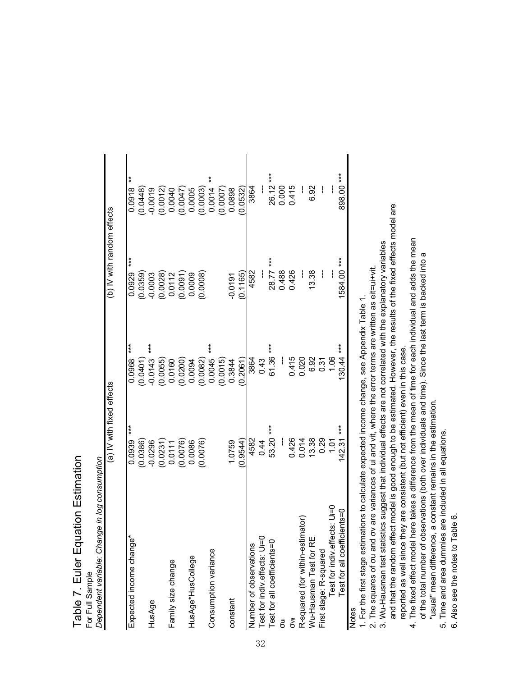| $\overline{\overline{C}}$<br>Ē<br>í |             |
|-------------------------------------|-------------|
| $\frac{1}{2}$                       | i<br>Por Fi |

| Dependent variable: Change in log consumption |                           |                 |                            |                        |
|-----------------------------------------------|---------------------------|-----------------|----------------------------|------------------------|
|                                               | (a) IV with fixed effects |                 | (b) IV with random effects |                        |
| Expected income change*                       | $*$<br>0.0939             | $***$<br>0.0968 | $***$<br>0.0929            | $\ast$<br>0.0918       |
|                                               | (0.0386)                  | (0.0401)        | (0.0359)                   | (0.0448)               |
| HusAge                                        | $-0.0296$                 | $***$<br>0.0143 | $-0.0003$                  | $-0.0019$              |
|                                               |                           | (0.0055)        | $(0.0028)$<br>$0.0112$     | $(0.0012)$<br>$0.0040$ |
| Family size change                            | $(0.0231)$<br>0.0111      | 0.0160          |                            |                        |
|                                               | (0.0076)                  | (0.0200)        | $(0.0091)$<br>0.0009       | (100047)               |
| HusAge*HusCollege                             | 0.0086                    | 0.0094          |                            | 0.0005                 |
|                                               | 0.0076)                   | (0.0082)        | 0.0008                     | (0.0003)               |
| Consumption variance                          |                           | $0.0045$ ***    |                            | ŧ<br>0.0014            |
|                                               |                           | (0.0015)        |                            | 0.0007                 |
| constant                                      | 1.0759                    | 0.3844          | $-0.0191$                  | 0.0898                 |
|                                               | (0.9544)                  | 0.2061          | (0.1165)                   | 0.0532                 |
| Number of observations                        | 4582                      | 3864            | 4582                       | 3864                   |
| Test for indiv.effects: Ui=0                  | 0.44                      | 0.43            | i                          |                        |
| Test for all coefficients=0                   | 53.20 ***                 | $61.36***$      | 28.77 ***                  | 26.12 ***              |
| ā                                             |                           |                 | 0.488                      | 0.000                  |
| Ğ<br>Ö                                        | 0.426                     | 0.415           | 0.426                      | 0.415                  |
| R-squared (for within-estimator)              | 0.014                     | 0.020           |                            |                        |
| Wu-Hausman Test for RE                        | 13.38                     | 6.92            | 13.38                      | 6.92                   |
| First stage: R-squared                        | 0.29                      | 0.31            |                            |                        |
| Test for indiv.effects: Ui=0                  | 1.01                      | 1.06            | i                          |                        |
| Test for all coefficients=0                   | $142.31***$               | $130.44***$     | 1584.00 ***                | 898.00 ***             |
| <b>Notes</b>                                  |                           |                 |                            |                        |

1. For the first stage estimations to calculate expected income change, see Appendix Table 1. 1. For the first stage estimations to calculate expected income change, see Appendix Table 1.

2. The squares of ou and ov are variances of ui and vit, where the error terms are written as eit=ui+vit. 2. The squares of  $\sigma$ u and  $\sigma$ v are variances of ui and vit, where the error terms are written as eit=ui+vit.

3. Wu-Hausman test statistics suggest that individual effects are not correlated with the explanatory variables 3. Wu-Hausman test statistics suggest that individual effects are not correlated with the explanatory variables

and that the random effect model is good enough to be estimated. However, the results of the fixed effects model are and that the random effect model is good enough to be estimated. However, the results of the fixed effects model are 4. The fixed effect model here takes a difference from the mean of time for each individual and adds the mean 4. The fixed effect model here takes a difference from the mean of time for each individual and adds the mean reported as well since they are consistent (but not efficient) even in this case. reported as well since they are consistent (but not efficient) even in this case.

of the total number of observations (both over individuals and time). Since the last term is backed into a of the total number of observations (both over individuals and time). Since the last term is backed into a "usual" mean difference, a constant remains in the estimation. "usual" mean difference, a constant remains in the estimation.

5. Time and area dummies are included in all equations. 5. Time and area dummies are included in all equations.

6. Also see the notes to Table 6. 6. Also see the notes to Table 6.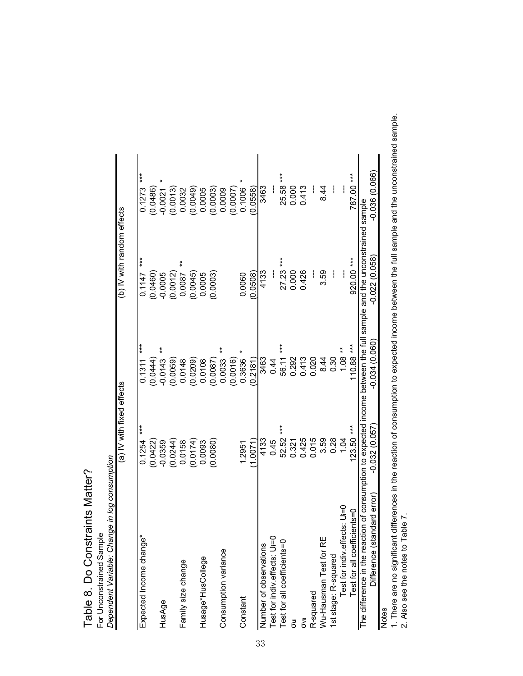| Dependent Variable: Change in log consumption<br>For Unconstrained Sample |                           |                     |                                                                                           |                 |
|---------------------------------------------------------------------------|---------------------------|---------------------|-------------------------------------------------------------------------------------------|-----------------|
|                                                                           | (a) IV with fixed effects |                     | (b) IV with random effects                                                                |                 |
| Expected Income change*                                                   | $***$<br>0.1254           | $***$<br>0.1311     | $***$<br>0.1147                                                                           | ***<br>0.1273   |
|                                                                           | (0.0422)                  | (0.0444)            | (0.0460)                                                                                  | 0.0486          |
| HusAge                                                                    | $-0.0359$                 | $\ast$<br>$-0.0143$ | $-0.0005$                                                                                 | $-0.0021$       |
|                                                                           | (0.0244)                  | (0.0059)            | (0.0012)                                                                                  | (0.0013)        |
| Family size change                                                        | 0.0158                    | 0.0148              | $\ast$<br>0.0087                                                                          | 0.0032          |
|                                                                           | (0.0174)                  | (0.0209)            | (0.0045)                                                                                  | (0.0049)        |
| Husage*HusCollege                                                         | 0.0093                    | 0.0108              | 0.0005                                                                                    | 0.0005          |
|                                                                           | (0.0080)                  | (0.0087)            | (0.0003)                                                                                  | (0.0003)        |
| Consumption variance                                                      |                           | $\ast$<br>0.0033    |                                                                                           | 0.0009          |
|                                                                           |                           | (0.0016)            |                                                                                           | (0.0007)        |
| Constant                                                                  | 1.2951                    | 0.3636              | 0.0060                                                                                    | 0.1006          |
|                                                                           | (1.0071)                  | (0.2181)            | (0.0508)                                                                                  | 0.0558          |
| Number of observations                                                    | 4133                      | 3463                | 4133                                                                                      | 3463            |
| Test for indiv.effects: Ui=0                                              | 0.45                      | 0.44                |                                                                                           |                 |
| Test for all coefficients=0                                               | 52.52 ***                 | 56.11 ***           | $27.23***$                                                                                | 25.58 ***       |
| J                                                                         | 0.321                     | 0.292               | 0.000                                                                                     | 0.000           |
| Š                                                                         | 0.425                     | 0.413               | 0.426                                                                                     | 0.413           |
| R-squared                                                                 | 0.015                     | 0.020               | ł                                                                                         |                 |
| Wu-Hausman Test for RE                                                    | 3.59                      | 8.44                | 3.59                                                                                      | 8.44            |
| 1st stage: R-squared                                                      | 0.28                      | 0.30                | I                                                                                         |                 |
| Test for indiv.effects: U=0                                               | 1.04                      | $1.08**$            | i                                                                                         |                 |
| Test for all coefficients=0                                               | $123.50***$               | 110.88 ***          | 920.00 ***                                                                                | 787.00 ***      |
| The difference in the reacti                                              |                           |                     | on of consumption to expected income between the full sample and the unconstrained sample |                 |
| ndard error)<br>Difference (star                                          | $-0.032(0.057)$           | $-0.034(0.060)$     | $-0.022(0.058)$                                                                           | $-0.036(0.066)$ |
| Notas                                                                     |                           |                     |                                                                                           |                 |

Table 8. Do Constraints Matter?

Table 8. Do Constraints Matter?

Notes<br>1. There are no significant differences in the reaction of consumption to expected income between the full sample and the unconstrained sample.<br>2. Also see the notes to Table 7. 1. There are no significant differences in the reaction of consumption to expected income between the full sample and the unconstrained sample. 2. Also see the notes to Table 7.